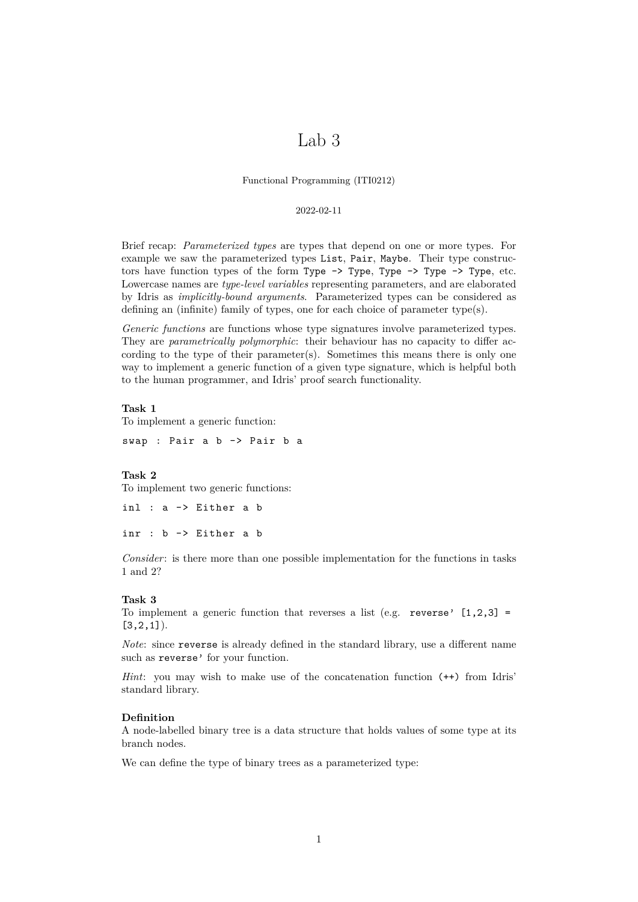# Lab 3

Functional Programming (ITI0212)

## 2022-02-11

Brief recap: *Parameterized types* are types that depend on one or more types. For example we saw the parameterized types List, Pair, Maybe. Their type constructors have function types of the form Type -> Type, Type -> Type -> Type, etc. Lowercase names are *type-level variables* representing parameters, and are elaborated by Idris as *implicitly-bound arguments*. Parameterized types can be considered as defining an (infinite) family of types, one for each choice of parameter type(s).

*Generic functions* are functions whose type signatures involve parameterized types. They are *parametrically polymorphic*: their behaviour has no capacity to differ according to the type of their parameter(s). Sometimes this means there is only one way to implement a generic function of a given type signature, which is helpful both to the human programmer, and Idris' proof search functionality.

#### **Task 1**

To implement a generic function:

swap : Pair a b -> Pair b a

## **Task 2**

To implement two generic functions:

```
inl : a -> Either a b
inr : b -> Either a b
```
*Consider*: is there more than one possible implementation for the functions in tasks 1 and 2?

#### **Task 3**

To implement a generic function that reverses a list (e.g. reverse'  $[1,2,3]$  =  $[3, 2, 1]$ ).

*Note*: since reverse is already defined in the standard library, use a different name such as reverse' for your function.

*Hint*: you may wish to make use of the concatenation function (++) from Idris' standard library.

## **Definition**

A node-labelled binary tree is a data structure that holds values of some type at its branch nodes.

We can define the type of binary trees as a parameterized type: